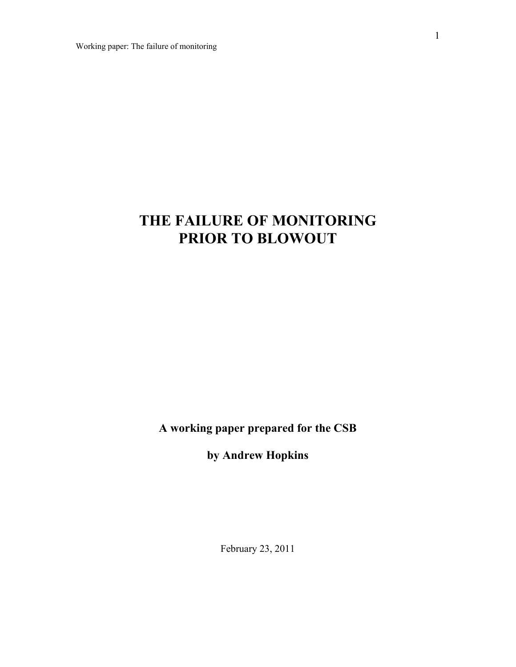# **THE FAILURE OF MONITORING PRIOR TO BLOWOUT**

**A working paper prepared for the CSB** 

**by Andrew Hopkins** 

February 23, 2011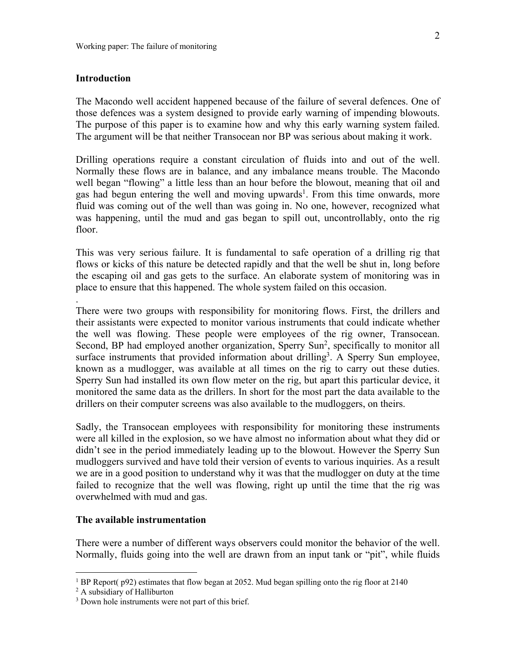# **Introduction**

.

The Macondo well accident happened because of the failure of several defences. One of those defences was a system designed to provide early warning of impending blowouts. The purpose of this paper is to examine how and why this early warning system failed. The argument will be that neither Transocean nor BP was serious about making it work.

Drilling operations require a constant circulation of fluids into and out of the well. Normally these flows are in balance, and any imbalance means trouble. The Macondo well began "flowing" a little less than an hour before the blowout, meaning that oil and gas had begun entering the well and moving upwards<sup>1</sup>. From this time onwards, more fluid was coming out of the well than was going in. No one, however, recognized what was happening, until the mud and gas began to spill out, uncontrollably, onto the rig floor.

This was very serious failure. It is fundamental to safe operation of a drilling rig that flows or kicks of this nature be detected rapidly and that the well be shut in, long before the escaping oil and gas gets to the surface. An elaborate system of monitoring was in place to ensure that this happened. The whole system failed on this occasion.

There were two groups with responsibility for monitoring flows. First, the drillers and their assistants were expected to monitor various instruments that could indicate whether the well was flowing. These people were employees of the rig owner, Transocean. Second, BP had employed another organization, Sperry Sun<sup>2</sup>, specifically to monitor all surface instruments that provided information about drilling<sup>3</sup>. A Sperry Sun employee, known as a mudlogger, was available at all times on the rig to carry out these duties. Sperry Sun had installed its own flow meter on the rig, but apart this particular device, it monitored the same data as the drillers. In short for the most part the data available to the drillers on their computer screens was also available to the mudloggers, on theirs.

Sadly, the Transocean employees with responsibility for monitoring these instruments were all killed in the explosion, so we have almost no information about what they did or didn't see in the period immediately leading up to the blowout. However the Sperry Sun mudloggers survived and have told their version of events to various inquiries. As a result we are in a good position to understand why it was that the mudlogger on duty at the time failed to recognize that the well was flowing, right up until the time that the rig was overwhelmed with mud and gas.

# **The available instrumentation**

There were a number of different ways observers could monitor the behavior of the well. Normally, fluids going into the well are drawn from an input tank or "pit", while fluids

<sup>&</sup>lt;sup>1</sup> BP Report( p92) estimates that flow began at 2052. Mud began spilling onto the rig floor at 2140  $^2$  A subsidiary of Halliburton

A subsidiary of Halliburton

<sup>&</sup>lt;sup>3</sup> Down hole instruments were not part of this brief.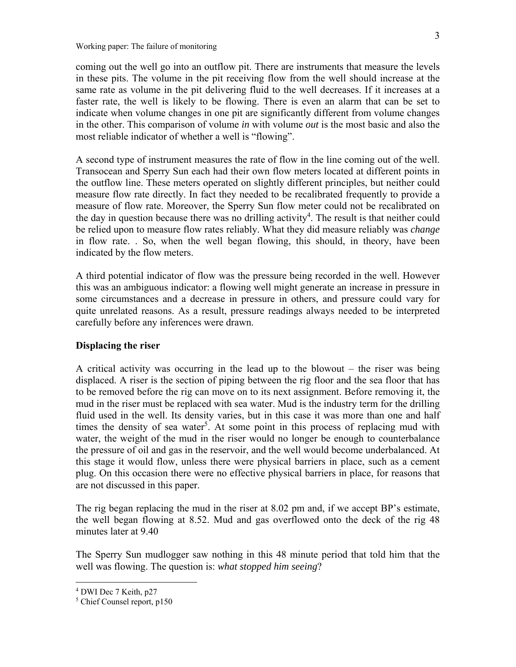coming out the well go into an outflow pit. There are instruments that measure the levels in these pits. The volume in the pit receiving flow from the well should increase at the same rate as volume in the pit delivering fluid to the well decreases. If it increases at a faster rate, the well is likely to be flowing. There is even an alarm that can be set to indicate when volume changes in one pit are significantly different from volume changes in the other. This comparison of volume *in* with volume *out* is the most basic and also the most reliable indicator of whether a well is "flowing".

A second type of instrument measures the rate of flow in the line coming out of the well. Transocean and Sperry Sun each had their own flow meters located at different points in the outflow line. These meters operated on slightly different principles, but neither could measure flow rate directly. In fact they needed to be recalibrated frequently to provide a measure of flow rate. Moreover, the Sperry Sun flow meter could not be recalibrated on the day in question because there was no drilling activity<sup>4</sup>. The result is that neither could be relied upon to measure flow rates reliably. What they did measure reliably was *change* in flow rate. . So, when the well began flowing, this should, in theory, have been indicated by the flow meters.

A third potential indicator of flow was the pressure being recorded in the well. However this was an ambiguous indicator: a flowing well might generate an increase in pressure in some circumstances and a decrease in pressure in others, and pressure could vary for quite unrelated reasons. As a result, pressure readings always needed to be interpreted carefully before any inferences were drawn.

# **Displacing the riser**

A critical activity was occurring in the lead up to the blowout – the riser was being displaced. A riser is the section of piping between the rig floor and the sea floor that has to be removed before the rig can move on to its next assignment. Before removing it, the mud in the riser must be replaced with sea water. Mud is the industry term for the drilling fluid used in the well. Its density varies, but in this case it was more than one and half times the density of sea water<sup>5</sup>. At some point in this process of replacing mud with water, the weight of the mud in the riser would no longer be enough to counterbalance the pressure of oil and gas in the reservoir, and the well would become underbalanced. At this stage it would flow, unless there were physical barriers in place, such as a cement plug. On this occasion there were no effective physical barriers in place, for reasons that are not discussed in this paper.

The rig began replacing the mud in the riser at 8.02 pm and, if we accept BP's estimate, the well began flowing at 8.52. Mud and gas overflowed onto the deck of the rig 48 minutes later at 9.40

The Sperry Sun mudlogger saw nothing in this 48 minute period that told him that the well was flowing. The question is: *what stopped him seeing*?

<sup>4</sup> DWI Dec 7 Keith, p27

<sup>5</sup> Chief Counsel report, p150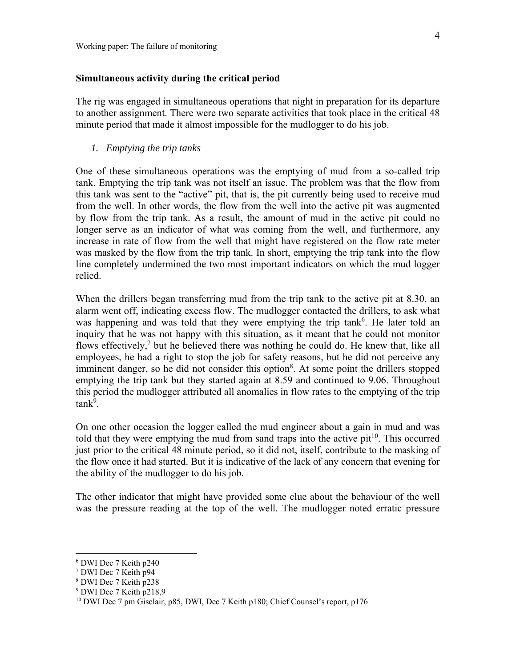# **Simultaneous activity during the critical period**

The rig was engaged in simultaneous operations that night in preparation for its departure to another assignment. There were two separate activities that took place in the critical 48 minute period that made it almost impossible for the mudlogger to do his job.

*1. Emptying the trip tanks* 

One of these simultaneous operations was the emptying of mud from a so-called trip tank. Emptying the trip tank was not itself an issue. The problem was that the flow from this tank was sent to the "active" pit, that is, the pit currently being used to receive mud from the well. In other words, the flow from the well into the active pit was augmented by flow from the trip tank. As a result, the amount of mud in the active pit could no longer serve as an indicator of what was coming from the well, and furthermore, any increase in rate of flow from the well that might have registered on the flow rate meter was masked by the flow from the trip tank. In short, emptying the trip tank into the flow line completely undermined the two most important indicators on which the mud logger relied.

When the drillers began transferring mud from the trip tank to the active pit at 8.30, an alarm went off, indicating excess flow. The mudlogger contacted the drillers, to ask what was happening and was told that they were emptying the trip tank<sup>6</sup>. He later told an inquiry that he was not happy with this situation, as it meant that he could not monitor flows effectively,<sup>7</sup> but he believed there was nothing he could do. He knew that, like all employees, he had a right to stop the job for safety reasons, but he did not perceive any imminent danger, so he did not consider this option<sup>8</sup>. At some point the drillers stopped emptying the trip tank but they started again at 8.59 and continued to 9.06. Throughout this period the mudlogger attributed all anomalies in flow rates to the emptying of the trip tank<sup>9</sup>.

On one other occasion the logger called the mud engineer about a gain in mud and was told that they were emptying the mud from sand traps into the active  $pit^{10}$ . This occurred just prior to the critical 48 minute period, so it did not, itself, contribute to the masking of the flow once it had started. But it is indicative of the lack of any concern that evening for the ability of the mudlogger to do his job.

The other indicator that might have provided some clue about the behaviour of the well was the pressure reading at the top of the well. The mudlogger noted erratic pressure

<sup>6</sup> DWI Dec 7 Keith p240

<sup>7</sup> DWI Dec 7 Keith p94

<sup>8</sup> DWI Dec 7 Keith p238

<sup>9</sup> DWI Dec 7 Keith p218,9

<sup>&</sup>lt;sup>10</sup> DWI Dec 7 pm Gisclair, p85, DWI, Dec 7 Keith p180; Chief Counsel's report, p176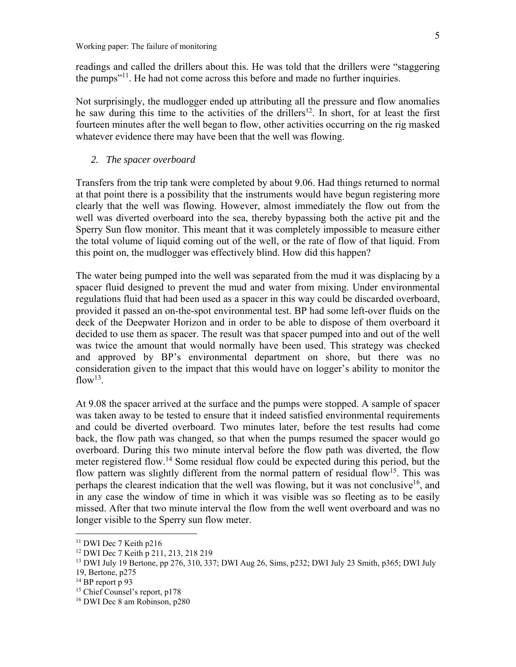readings and called the drillers about this. He was told that the drillers were "staggering the pumps"11. He had not come across this before and made no further inquiries.

Not surprisingly, the mudlogger ended up attributing all the pressure and flow anomalies he saw during this time to the activities of the drillers<sup>12</sup>. In short, for at least the first fourteen minutes after the well began to flow, other activities occurring on the rig masked whatever evidence there may have been that the well was flowing.

### *2. The spacer overboard*

Transfers from the trip tank were completed by about 9.06. Had things returned to normal at that point there is a possibility that the instruments would have begun registering more clearly that the well was flowing. However, almost immediately the flow out from the well was diverted overboard into the sea, thereby bypassing both the active pit and the Sperry Sun flow monitor. This meant that it was completely impossible to measure either the total volume of liquid coming out of the well, or the rate of flow of that liquid. From this point on, the mudlogger was effectively blind. How did this happen?

The water being pumped into the well was separated from the mud it was displacing by a spacer fluid designed to prevent the mud and water from mixing. Under environmental regulations fluid that had been used as a spacer in this way could be discarded overboard, provided it passed an on-the-spot environmental test. BP had some left-over fluids on the deck of the Deepwater Horizon and in order to be able to dispose of them overboard it decided to use them as spacer. The result was that spacer pumped into and out of the well was twice the amount that would normally have been used. This strategy was checked and approved by BP's environmental department on shore, but there was no consideration given to the impact that this would have on logger's ability to monitor the  $flow^{13}$ .

At 9.08 the spacer arrived at the surface and the pumps were stopped. A sample of spacer was taken away to be tested to ensure that it indeed satisfied environmental requirements and could be diverted overboard. Two minutes later, before the test results had come back, the flow path was changed, so that when the pumps resumed the spacer would go overboard. During this two minute interval before the flow path was diverted, the flow meter registered flow.<sup>14</sup> Some residual flow could be expected during this period, but the flow pattern was slightly different from the normal pattern of residual flow<sup>15</sup>. This was perhaps the clearest indication that the well was flowing, but it was not conclusive<sup>16</sup>, and in any case the window of time in which it was visible was so fleeting as to be easily missed. After that two minute interval the flow from the well went overboard and was no longer visible to the Sperry sun flow meter.

<u>.</u>

<sup>&</sup>lt;sup>11</sup> DWI Dec 7 Keith p216

<sup>12</sup> DWI Dec 7 Keith p 211, 213, 218 219

<sup>13</sup> DWI July 19 Bertone, pp 276, 310, 337; DWI Aug 26, Sims, p232; DWI July 23 Smith, p365; DWI July 19, Bertone, p275

<sup>&</sup>lt;sup>14</sup> BP report p 93

<sup>15</sup> Chief Counsel's report, p178 16 DWI Dec 8 am Robinson, p280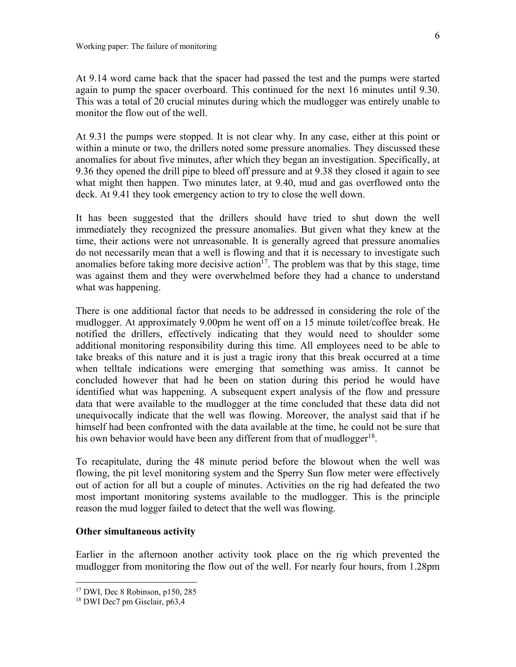At 9.14 word came back that the spacer had passed the test and the pumps were started again to pump the spacer overboard. This continued for the next 16 minutes until 9.30. This was a total of 20 crucial minutes during which the mudlogger was entirely unable to monitor the flow out of the well.

At 9.31 the pumps were stopped. It is not clear why. In any case, either at this point or within a minute or two, the drillers noted some pressure anomalies. They discussed these anomalies for about five minutes, after which they began an investigation. Specifically, at 9.36 they opened the drill pipe to bleed off pressure and at 9.38 they closed it again to see what might then happen. Two minutes later, at 9.40, mud and gas overflowed onto the deck. At 9.41 they took emergency action to try to close the well down.

It has been suggested that the drillers should have tried to shut down the well immediately they recognized the pressure anomalies. But given what they knew at the time, their actions were not unreasonable. It is generally agreed that pressure anomalies do not necessarily mean that a well is flowing and that it is necessary to investigate such anomalies before taking more decisive action<sup>17</sup>. The problem was that by this stage, time was against them and they were overwhelmed before they had a chance to understand what was happening.

There is one additional factor that needs to be addressed in considering the role of the mudlogger. At approximately 9.00pm he went off on a 15 minute toilet/coffee break. He notified the drillers, effectively indicating that they would need to shoulder some additional monitoring responsibility during this time. All employees need to be able to take breaks of this nature and it is just a tragic irony that this break occurred at a time when telltale indications were emerging that something was amiss. It cannot be concluded however that had he been on station during this period he would have identified what was happening. A subsequent expert analysis of the flow and pressure data that were available to the mudlogger at the time concluded that these data did not unequivocally indicate that the well was flowing. Moreover, the analyst said that if he himself had been confronted with the data available at the time, he could not be sure that his own behavior would have been any different from that of mudlogger<sup>18</sup>.

To recapitulate, during the 48 minute period before the blowout when the well was flowing, the pit level monitoring system and the Sperry Sun flow meter were effectively out of action for all but a couple of minutes. Activities on the rig had defeated the two most important monitoring systems available to the mudlogger. This is the principle reason the mud logger failed to detect that the well was flowing.

#### **Other simultaneous activity**

Earlier in the afternoon another activity took place on the rig which prevented the mudlogger from monitoring the flow out of the well. For nearly four hours, from 1.28pm

<sup>17</sup> DWI, Dec 8 Robinson, p150, 285

<sup>18</sup> DWI Dec7 pm Gisclair, p63,4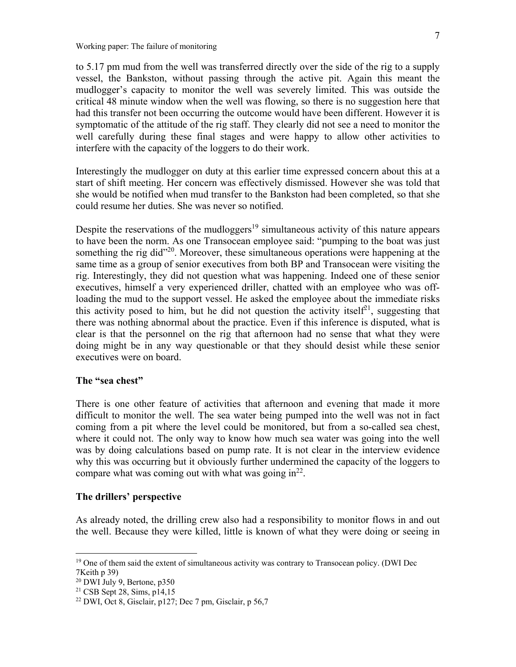to 5.17 pm mud from the well was transferred directly over the side of the rig to a supply vessel, the Bankston, without passing through the active pit. Again this meant the mudlogger's capacity to monitor the well was severely limited. This was outside the critical 48 minute window when the well was flowing, so there is no suggestion here that had this transfer not been occurring the outcome would have been different. However it is symptomatic of the attitude of the rig staff. They clearly did not see a need to monitor the well carefully during these final stages and were happy to allow other activities to interfere with the capacity of the loggers to do their work.

Interestingly the mudlogger on duty at this earlier time expressed concern about this at a start of shift meeting. Her concern was effectively dismissed. However she was told that she would be notified when mud transfer to the Bankston had been completed, so that she could resume her duties. She was never so notified.

Despite the reservations of the mudloggers<sup>19</sup> simultaneous activity of this nature appears to have been the norm. As one Transocean employee said: "pumping to the boat was just something the rig did<sup>"20</sup>. Moreover, these simultaneous operations were happening at the same time as a group of senior executives from both BP and Transocean were visiting the rig. Interestingly, they did not question what was happening. Indeed one of these senior executives, himself a very experienced driller, chatted with an employee who was offloading the mud to the support vessel. He asked the employee about the immediate risks this activity posed to him, but he did not question the activity itself<sup>21</sup>, suggesting that there was nothing abnormal about the practice. Even if this inference is disputed, what is clear is that the personnel on the rig that afternoon had no sense that what they were doing might be in any way questionable or that they should desist while these senior executives were on board.

# **The "sea chest"**

There is one other feature of activities that afternoon and evening that made it more difficult to monitor the well. The sea water being pumped into the well was not in fact coming from a pit where the level could be monitored, but from a so-called sea chest, where it could not. The only way to know how much sea water was going into the well was by doing calculations based on pump rate. It is not clear in the interview evidence why this was occurring but it obviously further undermined the capacity of the loggers to compare what was coming out with what was going  $in^{22}$ .

#### **The drillers' perspective**

As already noted, the drilling crew also had a responsibility to monitor flows in and out the well. Because they were killed, little is known of what they were doing or seeing in

<sup>&</sup>lt;sup>19</sup> One of them said the extent of simultaneous activity was contrary to Transocean policy. (DWI Dec 7Keith p 39)

<sup>20</sup> DWI July 9, Bertone, p350

<sup>21</sup> CSB Sept 28, Sims, p14,15

 $22$  DWI, Oct 8, Gisclair, p127; Dec 7 pm, Gisclair, p 56,7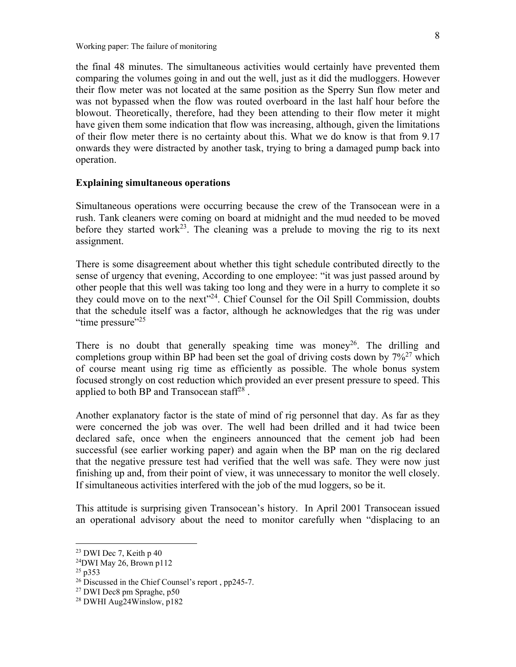Working paper: The failure of monitoring

the final 48 minutes. The simultaneous activities would certainly have prevented them comparing the volumes going in and out the well, just as it did the mudloggers. However their flow meter was not located at the same position as the Sperry Sun flow meter and was not bypassed when the flow was routed overboard in the last half hour before the blowout. Theoretically, therefore, had they been attending to their flow meter it might have given them some indication that flow was increasing, although, given the limitations of their flow meter there is no certainty about this. What we do know is that from 9.17 onwards they were distracted by another task, trying to bring a damaged pump back into operation.

# **Explaining simultaneous operations**

Simultaneous operations were occurring because the crew of the Transocean were in a rush. Tank cleaners were coming on board at midnight and the mud needed to be moved before they started work<sup>23</sup>. The cleaning was a prelude to moving the rig to its next assignment.

There is some disagreement about whether this tight schedule contributed directly to the sense of urgency that evening, According to one employee: "it was just passed around by other people that this well was taking too long and they were in a hurry to complete it so they could move on to the next"24. Chief Counsel for the Oil Spill Commission, doubts that the schedule itself was a factor, although he acknowledges that the rig was under "time pressure"<sup>25</sup>

There is no doubt that generally speaking time was money<sup>26</sup>. The drilling and completions group within BP had been set the goal of driving costs down by  $7\frac{9}{6}$  which of course meant using rig time as efficiently as possible. The whole bonus system focused strongly on cost reduction which provided an ever present pressure to speed. This applied to both BP and Transocean staff<sup>28</sup>.

Another explanatory factor is the state of mind of rig personnel that day. As far as they were concerned the job was over. The well had been drilled and it had twice been declared safe, once when the engineers announced that the cement job had been successful (see earlier working paper) and again when the BP man on the rig declared that the negative pressure test had verified that the well was safe. They were now just finishing up and, from their point of view, it was unnecessary to monitor the well closely. If simultaneous activities interfered with the job of the mud loggers, so be it.

This attitude is surprising given Transocean's history. In April 2001 Transocean issued an operational advisory about the need to monitor carefully when "displacing to an

<sup>23</sup> DWI Dec 7, Keith p 40

<sup>24</sup>DWI May 26, Brown p112

 $25$  p353

<sup>&</sup>lt;sup>26</sup> Discussed in the Chief Counsel's report, pp245-7.

<sup>27</sup> DWI Dec8 pm Spraghe, p50

<sup>28</sup> DWHI Aug24Winslow, p182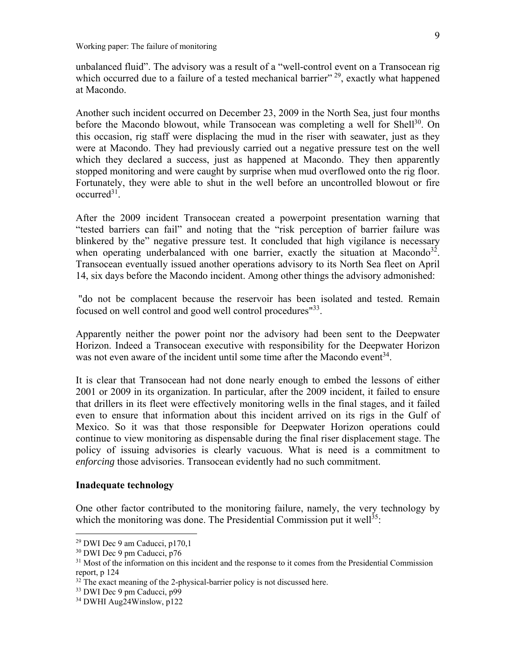unbalanced fluid". The advisory was a result of a "well-control event on a Transocean rig which occurred due to a failure of a tested mechanical barrier"<sup>29</sup>, exactly what happened at Macondo.

Another such incident occurred on December 23, 2009 in the North Sea, just four months before the Macondo blowout, while Transocean was completing a well for Shell<sup>30</sup>. On this occasion, rig staff were displacing the mud in the riser with seawater, just as they were at Macondo. They had previously carried out a negative pressure test on the well which they declared a success, just as happened at Macondo. They then apparently stopped monitoring and were caught by surprise when mud overflowed onto the rig floor. Fortunately, they were able to shut in the well before an uncontrolled blowout or fire  $occurred<sup>31</sup>$ .

After the 2009 incident Transocean created a powerpoint presentation warning that "tested barriers can fail" and noting that the "risk perception of barrier failure was blinkered by the" negative pressure test. It concluded that high vigilance is necessary when operating underbalanced with one barrier, exactly the situation at Macondo<sup>32</sup>. Transocean eventually issued another operations advisory to its North Sea fleet on April 14, six days before the Macondo incident. Among other things the advisory admonished:

 "do not be complacent because the reservoir has been isolated and tested. Remain focused on well control and good well control procedures"33.

Apparently neither the power point nor the advisory had been sent to the Deepwater Horizon. Indeed a Transocean executive with responsibility for the Deepwater Horizon was not even aware of the incident until some time after the Macondo event<sup>34</sup>.

It is clear that Transocean had not done nearly enough to embed the lessons of either 2001 or 2009 in its organization. In particular, after the 2009 incident, it failed to ensure that drillers in its fleet were effectively monitoring wells in the final stages, and it failed even to ensure that information about this incident arrived on its rigs in the Gulf of Mexico. So it was that those responsible for Deepwater Horizon operations could continue to view monitoring as dispensable during the final riser displacement stage. The policy of issuing advisories is clearly vacuous. What is need is a commitment to *enforcing* those advisories. Transocean evidently had no such commitment.

#### **Inadequate technology**

 $\overline{a}$ 

One other factor contributed to the monitoring failure, namely, the very technology by which the monitoring was done. The Presidential Commission put it well<sup>35</sup>:

 $29$  DWI Dec 9 am Caducci, p170,1

<sup>30</sup> DWI Dec 9 pm Caducci, p76

<sup>&</sup>lt;sup>31</sup> Most of the information on this incident and the response to it comes from the Presidential Commission report, p 124

 $32$  The exact meaning of the 2-physical-barrier policy is not discussed here.

<sup>33</sup> DWI Dec 9 pm Caducci, p99

<sup>34</sup> DWHI Aug24Winslow, p122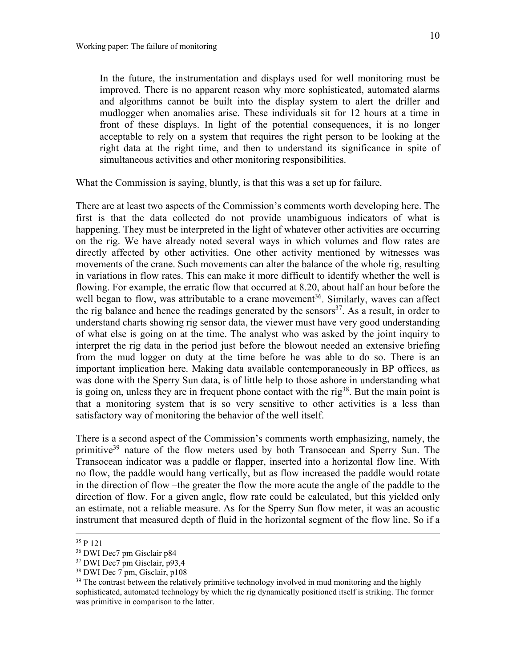In the future, the instrumentation and displays used for well monitoring must be improved. There is no apparent reason why more sophisticated, automated alarms and algorithms cannot be built into the display system to alert the driller and mudlogger when anomalies arise. These individuals sit for 12 hours at a time in front of these displays. In light of the potential consequences, it is no longer acceptable to rely on a system that requires the right person to be looking at the right data at the right time, and then to understand its significance in spite of simultaneous activities and other monitoring responsibilities.

What the Commission is saying, bluntly, is that this was a set up for failure.

There are at least two aspects of the Commission's comments worth developing here. The first is that the data collected do not provide unambiguous indicators of what is happening. They must be interpreted in the light of whatever other activities are occurring on the rig. We have already noted several ways in which volumes and flow rates are directly affected by other activities. One other activity mentioned by witnesses was movements of the crane. Such movements can alter the balance of the whole rig, resulting in variations in flow rates. This can make it more difficult to identify whether the well is flowing. For example, the erratic flow that occurred at 8.20, about half an hour before the well began to flow, was attributable to a crane movement<sup>36</sup>. Similarly, waves can affect the rig balance and hence the readings generated by the sensors<sup>37</sup>. As a result, in order to understand charts showing rig sensor data, the viewer must have very good understanding of what else is going on at the time. The analyst who was asked by the joint inquiry to interpret the rig data in the period just before the blowout needed an extensive briefing from the mud logger on duty at the time before he was able to do so. There is an important implication here. Making data available contemporaneously in BP offices, as was done with the Sperry Sun data, is of little help to those ashore in understanding what is going on, unless they are in frequent phone contact with the rig<sup>38</sup>. But the main point is that a monitoring system that is so very sensitive to other activities is a less than satisfactory way of monitoring the behavior of the well itself.

There is a second aspect of the Commission's comments worth emphasizing, namely, the primitive<sup>39</sup> nature of the flow meters used by both Transocean and Sperry Sun. The Transocean indicator was a paddle or flapper, inserted into a horizontal flow line. With no flow, the paddle would hang vertically, but as flow increased the paddle would rotate in the direction of flow –the greater the flow the more acute the angle of the paddle to the direction of flow. For a given angle, flow rate could be calculated, but this yielded only an estimate, not a reliable measure. As for the Sperry Sun flow meter, it was an acoustic instrument that measured depth of fluid in the horizontal segment of the flow line. So if a

 <sup>35</sup> P 121

<sup>36</sup> DWI Dec7 pm Gisclair p84

<sup>37</sup> DWI Dec7 pm Gisclair, p93,4

<sup>38</sup> DWI Dec 7 pm, Gisclair, p108

 $39$  The contrast between the relatively primitive technology involved in mud monitoring and the highly sophisticated, automated technology by which the rig dynamically positioned itself is striking. The former was primitive in comparison to the latter.